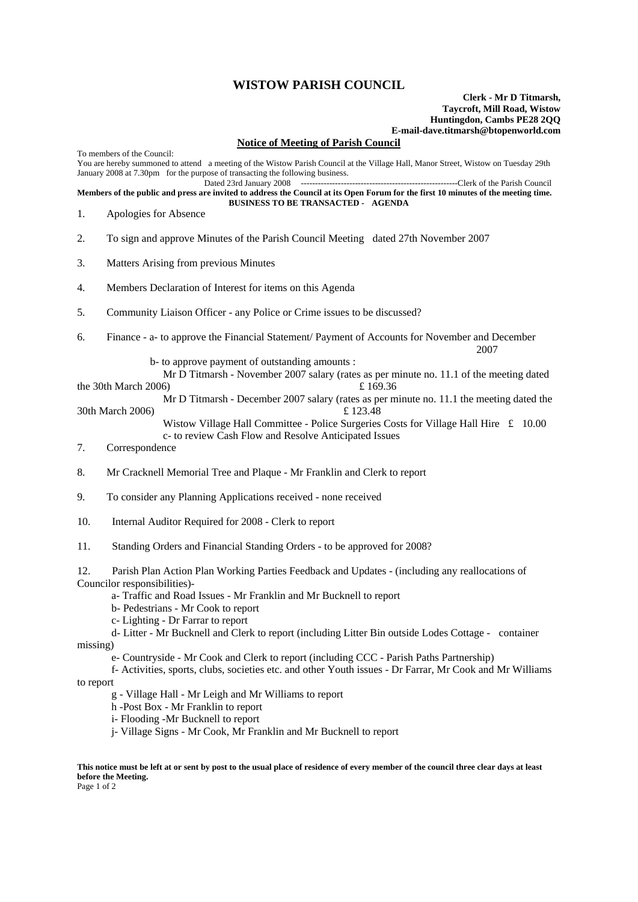## **WISTOW PARISH COUNCIL**

## **Clerk - Mr D Titmarsh, Taycroft, Mill Road, Wistow Huntingdon, Cambs PE28 2QQ E-mail-dave.titmarsh@btopenworld.com**

## **Notice of Meeting of Parish Council**

To members of the Council: You are hereby summoned to attend a meeting of the Wistow Parish Council at the Village Hall, Manor Street, Wistow on Tuesday 29th January 2008 at 7.30pm for the purpose of transacting the following business. Dated 23rd January 2008 -------------------------------------------------------Clerk of the Parish Council **Members of the public and press are invited to address the Council at its Open Forum for the first 10 minutes of the meeting time. BUSINESS TO BE TRANSACTED - AGENDA**  1. Apologies for Absence 2. To sign and approve Minutes of the Parish Council Meeting dated 27th November 2007 3. Matters Arising from previous Minutes 4. Members Declaration of Interest for items on this Agenda 5. Community Liaison Officer - any Police or Crime issues to be discussed? 6. Finance - a- to approve the Financial Statement/ Payment of Accounts for November and December 2007 **2007**  b- to approve payment of outstanding amounts : Mr D Titmarsh - November 2007 salary (rates as per minute no. 11.1 of the meeting dated the 30th March 2006)  $\pounds 169.36$  Mr D Titmarsh - December 2007 salary (rates as per minute no. 11.1 the meeting dated the 30th March 2006) £ 123.48 Wistow Village Hall Committee - Police Surgeries Costs for Village Hall Hire £ 10.00 c- to review Cash Flow and Resolve Anticipated Issues 7. Correspondence 8. Mr Cracknell Memorial Tree and Plaque - Mr Franklin and Clerk to report 9. To consider any Planning Applications received - none received 10. Internal Auditor Required for 2008 - Clerk to report 11. Standing Orders and Financial Standing Orders - to be approved for 2008? 12. Parish Plan Action Plan Working Parties Feedback and Updates - (including any reallocations of Councilor responsibilities) a- Traffic and Road Issues - Mr Franklin and Mr Bucknell to report b- Pedestrians - Mr Cook to report c- Lighting - Dr Farrar to report d- Litter - Mr Bucknell and Clerk to report (including Litter Bin outside Lodes Cottage - container missing) e- Countryside - Mr Cook and Clerk to report (including CCC - Parish Paths Partnership) f- Activities, sports, clubs, societies etc. and other Youth issues - Dr Farrar, Mr Cook and Mr Williams to report

- g Village Hall Mr Leigh and Mr Williams to report
- h -Post Box Mr Franklin to report
- i- Flooding -Mr Bucknell to report
- j- Village Signs Mr Cook, Mr Franklin and Mr Bucknell to report

**This notice must be left at or sent by post to the usual place of residence of every member of the council three clear days at least before the Meeting.**

Page 1 of 2